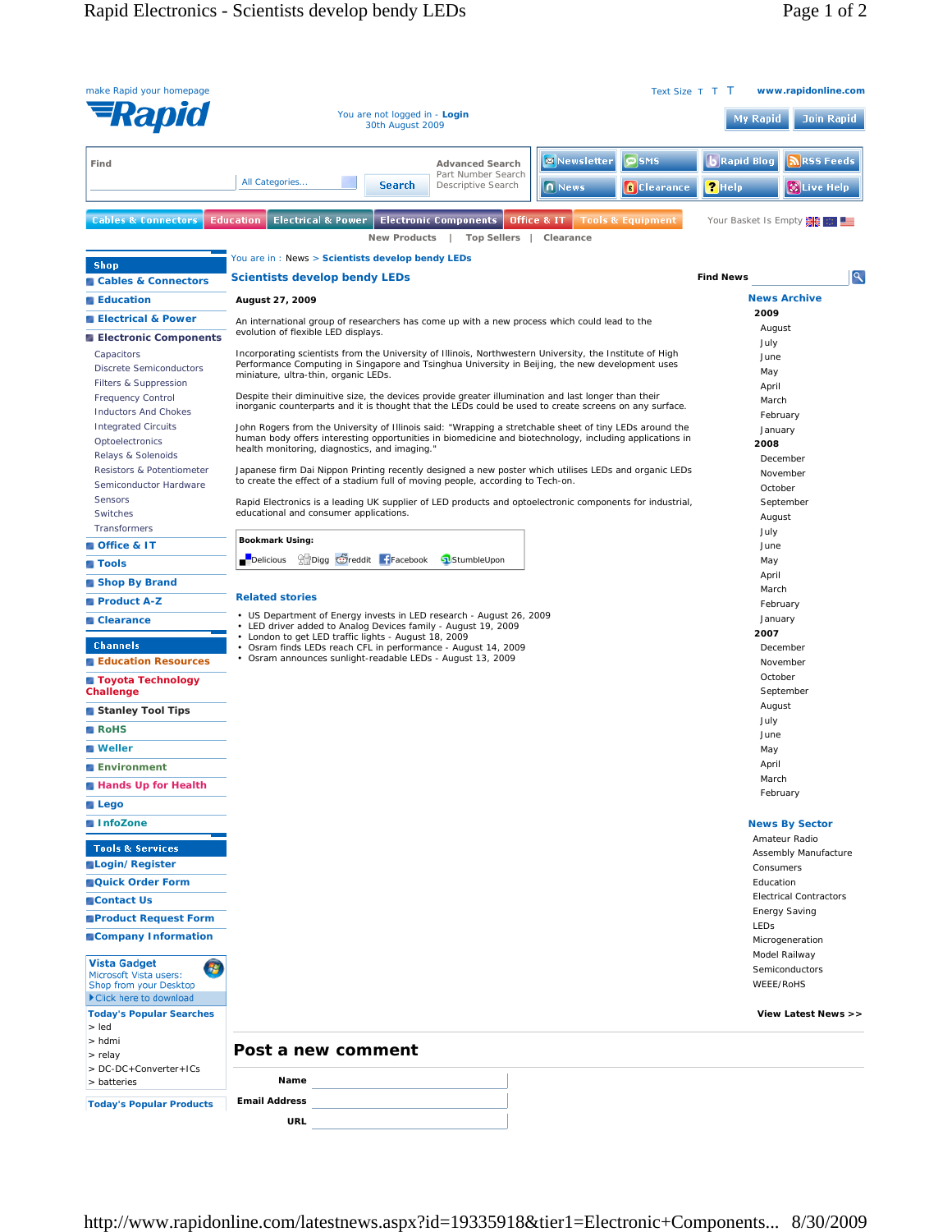| make Rapid your homepage                                                         |                                                                                                                                                                                                                                                     | www.rapidonline.com<br>Text Size T T T |
|----------------------------------------------------------------------------------|-----------------------------------------------------------------------------------------------------------------------------------------------------------------------------------------------------------------------------------------------------|----------------------------------------|
| Rapio                                                                            | You are not logged in - Login<br>30th August 2009                                                                                                                                                                                                   | <b>Join Rapid</b><br><b>My Rapid</b>   |
| Find                                                                             | $\circ$ SMS<br>Newsletter<br><b>Advanced Search</b>                                                                                                                                                                                                 | RSS Feeds<br>Rapid Blog ر              |
|                                                                                  | Part Number Search<br>All Categories<br><b>Search</b><br>Descriptive Search<br>n News<br><b>Clearance</b>                                                                                                                                           | $2$ Help<br><b>W</b> Live Help         |
| <b>Cables &amp; Connectors</b>                                                   | <b>Education</b><br><b>Electrical &amp; Power</b> Electronic Components<br>Office & IT<br><b>Tools &amp; Equipment</b><br><b>New Products</b><br><b>Top Sellers</b><br>Clearance                                                                    | Your Basket Is Empty   图               |
|                                                                                  | You are in: News > Scientists develop bendy LEDs                                                                                                                                                                                                    |                                        |
| <b>Shop</b><br>Cables & Connectors                                               | Scientists develop bendy LEDs                                                                                                                                                                                                                       | ٩<br><b>Find News</b>                  |
| <b>Education</b>                                                                 | August 27, 2009                                                                                                                                                                                                                                     | <b>News Archive</b>                    |
| <b>Electrical &amp; Power</b><br><b>Electronic Components</b>                    | An international group of researchers has come up with a new process which could lead to the<br>evolution of flexible LED displays.                                                                                                                 | 2009<br>August                         |
| Capacitors<br><b>Discrete Semiconductors</b>                                     | Incorporating scientists from the University of Illinois, Northwestern University, the Institute of High<br>Performance Computing in Singapore and Tsinghua University in Beijing, the new development uses<br>miniature, ultra-thin, organic LEDs. | July<br>June<br>May                    |
| Filters & Suppression                                                            |                                                                                                                                                                                                                                                     | April                                  |
| <b>Frequency Control</b><br><b>Inductors And Chokes</b>                          | Despite their diminuitive size, the devices provide greater illumination and last longer than their<br>inorganic counterparts and it is thought that the LEDs could be used to create screens on any surface.                                       | March                                  |
| <b>Integrated Circuits</b>                                                       | John Rogers from the University of Illinois said: "Wrapping a stretchable sheet of tiny LEDs around the                                                                                                                                             | February<br>January                    |
| Optoelectronics                                                                  | human body offers interesting opportunities in biomedicine and biotechnology, including applications in<br>health monitoring, diagnostics, and imaging."                                                                                            | 2008                                   |
| Relays & Solenoids<br>Resistors & Potentiometer                                  | Japanese firm Dai Nippon Printing recently designed a new poster which utilises LEDs and organic LEDs                                                                                                                                               | December                               |
| Semiconductor Hardware                                                           | to create the effect of a stadium full of moving people, according to Tech-on.                                                                                                                                                                      | November<br>October                    |
| Sensors                                                                          | Rapid Electronics is a leading UK supplier of LED products and optoelectronic components for industrial,                                                                                                                                            | September                              |
| Switches<br>Transformers                                                         | educational and consumer applications.                                                                                                                                                                                                              | August                                 |
| Office & IT                                                                      | <b>Bookmark Using:</b>                                                                                                                                                                                                                              | July<br>June                           |
| <b>■ Tools</b>                                                                   | <b>Photography</b> Facebook<br><b>P</b> Delicious<br>StumbleUpon                                                                                                                                                                                    | May                                    |
| Shop By Brand                                                                    |                                                                                                                                                                                                                                                     | April                                  |
| Product A-Z                                                                      | <b>Related stories</b>                                                                                                                                                                                                                              | March                                  |
| <b>Clearance</b>                                                                 | • US Department of Energy invests in LED research - August 26, 2009                                                                                                                                                                                 | February<br>January                    |
|                                                                                  | • LED driver added to Analog Devices family - August 19, 2009<br>• London to get LED traffic lights - August 18, 2009                                                                                                                               | 2007                                   |
| <b>Channels</b>                                                                  | • Osram finds LEDs reach CFL in performance - August 14, 2009<br>• Osram announces sunlight-readable LEDs - August 13, 2009                                                                                                                         | December                               |
| Education Resources                                                              |                                                                                                                                                                                                                                                     | November<br>October                    |
| ■ Toyota Technology<br>Challenge                                                 |                                                                                                                                                                                                                                                     | September                              |
| Stanley Tool Tips                                                                |                                                                                                                                                                                                                                                     | August                                 |
| <b>RoHS</b>                                                                      |                                                                                                                                                                                                                                                     | July<br>June                           |
| <b>Neller</b>                                                                    |                                                                                                                                                                                                                                                     | May                                    |
| <b>Environment</b>                                                               |                                                                                                                                                                                                                                                     | April                                  |
| Hands Up for Health                                                              |                                                                                                                                                                                                                                                     | March                                  |
| $\blacksquare$ Lego                                                              |                                                                                                                                                                                                                                                     | February                               |
| InfoZone                                                                         |                                                                                                                                                                                                                                                     | <b>News By Sector</b>                  |
| <b>Tools &amp; Services</b>                                                      |                                                                                                                                                                                                                                                     | Amateur Radio                          |
| Login/Register                                                                   |                                                                                                                                                                                                                                                     | Assembly Manufacture<br>Consumers      |
| <b>Quick Order Form</b>                                                          |                                                                                                                                                                                                                                                     | Education                              |
| Contact Us                                                                       |                                                                                                                                                                                                                                                     | <b>Electrical Contractors</b>          |
| <b>Product Request Form</b>                                                      |                                                                                                                                                                                                                                                     | <b>Energy Saving</b>                   |
| Company Information                                                              |                                                                                                                                                                                                                                                     | LEDS<br>Microgeneration                |
| <b>Vista Gadget</b>                                                              |                                                                                                                                                                                                                                                     | Model Railway                          |
| 43<br>Microsoft Vista users:<br>Shop from your Desktop<br>Click here to download |                                                                                                                                                                                                                                                     | Semiconductors<br>WEEE/RoHS            |
| <b>Today's Popular Searches</b><br>$>$ led                                       |                                                                                                                                                                                                                                                     | View Latest News >>                    |
| > hdmi                                                                           | Post a new comment                                                                                                                                                                                                                                  |                                        |
| > relay<br>> DC-DC+Converter+ICs<br>> batteries                                  | Name                                                                                                                                                                                                                                                |                                        |
|                                                                                  | <b>Email Address</b>                                                                                                                                                                                                                                |                                        |
| <b>Today's Popular Products</b>                                                  | URL                                                                                                                                                                                                                                                 |                                        |
|                                                                                  |                                                                                                                                                                                                                                                     |                                        |